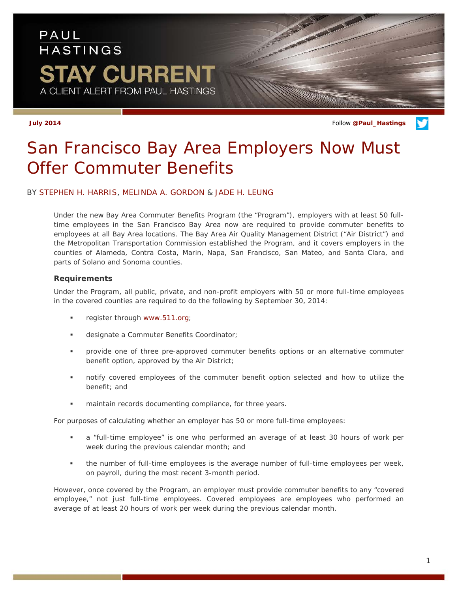# PAUL **HASTINGS** TAY CURRENT A CLIENT ALERT FROM PAUL HASTINGS

**July 2014** Follow **[@Paul\\_Hastings](http://twitter.com/Paul_Hastings)**

# *San Francisco Bay Area Employers Now Must Offer Commuter Benefits*

### BY [STEPHEN H. HARRIS,](http://www.paulhastings.com/Professionals/details/stephenharris/) [MELINDA A. GORDON](http://www.paulhastings.com/Professionals/details/melindagordon/) & [JADE H. LEUNG](http://www.paulhastings.com/Professionals/details/jadeleung/)

Under the new Bay Area Commuter Benefits Program (the "Program"), employers with at least 50 fulltime employees in the San Francisco Bay Area now are required to provide commuter benefits to employees at all Bay Area locations. The Bay Area Air Quality Management District ("Air District") and the Metropolitan Transportation Commission established the Program, and it covers employers in the counties of Alameda, Contra Costa, Marin, Napa, San Francisco, San Mateo, and Santa Clara, and parts of Solano and Sonoma counties.

### **Requirements**

Under the Program, all public, private, and non-profit employers with 50 or more full-time employees in the covered counties are required to do the following by September 30, 2014:

- register through [www.511.org;](http://www.511.org/)
- designate a Commuter Benefits Coordinator;
- provide one of three pre-approved commuter benefits options or an alternative commuter benefit option, approved by the Air District;
- notify covered employees of the commuter benefit option selected and how to utilize the benefit; and
- maintain records documenting compliance, for three years.

For purposes of calculating whether an employer has 50 or more full-time employees:

- a "full-time employee" is one who performed an average of at least 30 hours of work per week during the previous calendar month; and
- the number of full-time employees is the average number of full-time employees per week, on payroll, during the most recent 3-month period.

However, once covered by the Program, an employer must provide commuter benefits to any "covered employee," not just full-time employees. Covered employees are employees who performed an average of at least 20 hours of work per week during the previous calendar month.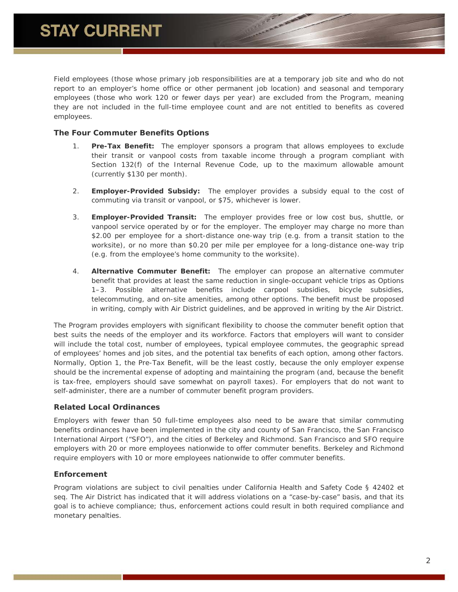Field employees (those whose primary job responsibilities are at a temporary job site and who do not report to an employer's home office or other permanent job location) and seasonal and temporary employees (those who work 120 or fewer days per year) are excluded from the Program, meaning they are not included in the full-time employee count and are not entitled to benefits as covered employees.

### **The Four Commuter Benefits Options**

- 1. **Pre-Tax Benefit:** The employer sponsors a program that allows employees to exclude their transit or vanpool costs from taxable income through a program compliant with Section 132(f) of the Internal Revenue Code, up to the maximum allowable amount (currently \$130 per month).
- 2. **Employer-Provided Subsidy:** The employer provides a subsidy equal to the cost of commuting via transit or vanpool, or \$75, whichever is lower.
- 3. **Employer-Provided Transit:** The employer provides free or low cost bus, shuttle, or vanpool service operated by or for the employer. The employer may charge no more than \$2.00 per employee for a short-distance one-way trip (e.g. from a transit station to the worksite), or no more than \$0.20 per mile per employee for a long-distance one-way trip (e.g. from the employee's home community to the worksite).
- 4. **Alternative Commuter Benefit:** The employer can propose an alternative commuter benefit that provides at least the same reduction in single-occupant vehicle trips as Options 1–3. Possible alternative benefits include carpool subsidies, bicycle subsidies, telecommuting, and on-site amenities, among other options. The benefit must be proposed in writing, comply with Air District guidelines, and be approved in writing by the Air District.

The Program provides employers with significant flexibility to choose the commuter benefit option that best suits the needs of the employer and its workforce. Factors that employers will want to consider will include the total cost, number of employees, typical employee commutes, the geographic spread of employees' homes and job sites, and the potential tax benefits of each option, among other factors. Normally, Option 1, the Pre-Tax Benefit, will be the least costly, because the only employer expense should be the incremental expense of adopting and maintaining the program (and, because the benefit is tax-free, employers should save somewhat on payroll taxes). For employers that do not want to self-administer, there are a number of commuter benefit program providers.

# **Related Local Ordinances**

Employers with fewer than 50 full-time employees also need to be aware that similar commuting benefits ordinances have been implemented in the city and county of San Francisco, the San Francisco International Airport ("SFO"), and the cities of Berkeley and Richmond. San Francisco and SFO require employers with 20 or more employees nationwide to offer commuter benefits. Berkeley and Richmond require employers with 10 or more employees nationwide to offer commuter benefits.

# **Enforcement**

Program violations are subject to civil penalties under California Health and Safety Code § 42402 et seq. The Air District has indicated that it will address violations on a "case-by-case" basis, and that its goal is to achieve compliance; thus, enforcement actions could result in both required compliance and monetary penalties.